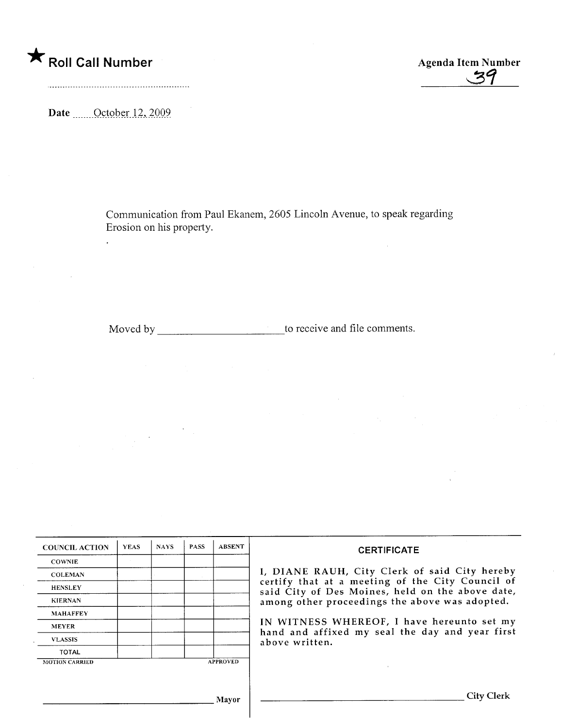A Roll Call Number Agenda Item Number Agenda Item Number

Date  $\qquad$  October 12, 2009

 $\frac{1}{2}$ 

Communication from Paul Ekanem, 2605 Lincoln Avenue, to speak regarding Erosion on his property.

Moved by \_\_\_\_\_\_\_\_\_\_\_\_\_\_\_\_\_\_\_\_\_\_\_\_\_\_\_\_\_\_to receive and file comments.

 $\mathcal{L}$ 

| <b>COUNCIL ACTION</b> | <b>YEAS</b> | <b>NAYS</b> | <b>PASS</b> | <b>ABSENT</b>   | <b>CERTIFICATE</b>                                                                                                                                                                                      |
|-----------------------|-------------|-------------|-------------|-----------------|---------------------------------------------------------------------------------------------------------------------------------------------------------------------------------------------------------|
| <b>COWNIE</b>         |             |             |             |                 | I, DIANE RAUH, City Clerk of said City hereby<br>certify that at a meeting of the City Council of<br>said City of Des Moines, held on the above date,<br>among other proceedings the above was adopted. |
| <b>COLEMAN</b>        |             |             |             |                 |                                                                                                                                                                                                         |
| <b>HENSLEY</b>        |             |             |             |                 |                                                                                                                                                                                                         |
| <b>KIERNAN</b>        |             |             |             |                 |                                                                                                                                                                                                         |
| <b>MAHAFFEY</b>       |             |             |             |                 |                                                                                                                                                                                                         |
| <b>MEYER</b>          |             |             |             |                 | IN WITNESS WHEREOF, I have hereunto set my<br>hand and affixed my seal the day and year first<br>above written.                                                                                         |
| <b>VLASSIS</b>        |             |             |             |                 |                                                                                                                                                                                                         |
| <b>TOTAL</b>          |             |             |             |                 |                                                                                                                                                                                                         |
| <b>MOTION CARRIED</b> |             |             |             | <b>APPROVED</b> |                                                                                                                                                                                                         |
|                       |             |             |             |                 |                                                                                                                                                                                                         |
|                       |             |             |             | <b>Mayor</b>    | ' lity \                                                                                                                                                                                                |